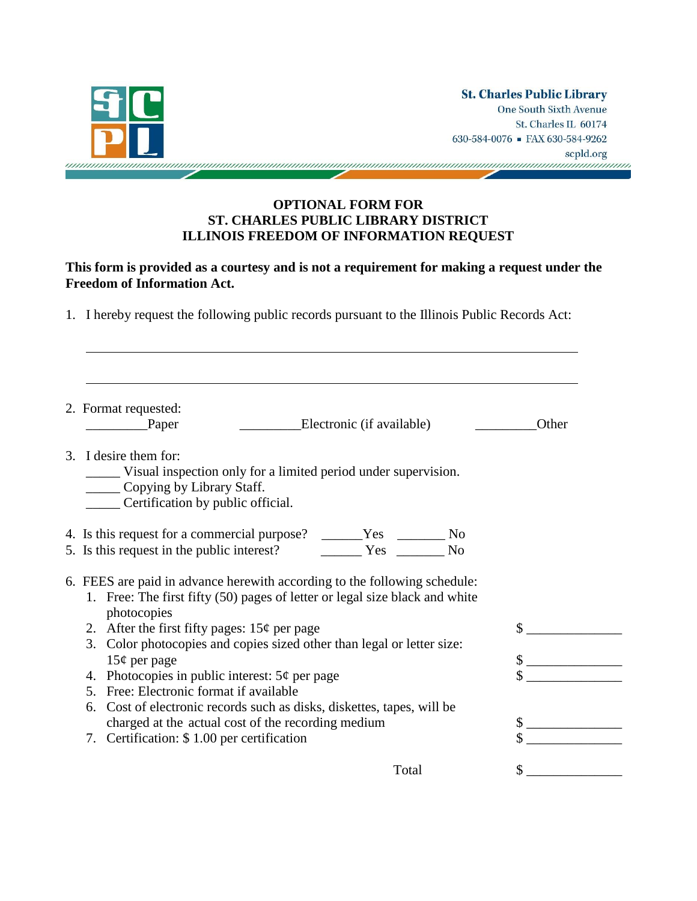

## **OPTIONAL FORM FOR ST. CHARLES PUBLIC LIBRARY DISTRICT ILLINOIS FREEDOM OF INFORMATION REQUEST**

## **This form is provided as a courtesy and is not a requirement for making a request under the Freedom of Information Act.**

1. I hereby request the following public records pursuant to the Illinois Public Records Act:

| 2. Format requested:                               |                                                                             |       |
|----------------------------------------------------|-----------------------------------------------------------------------------|-------|
| Paper                                              | Electronic (if available)                                                   | Other |
| 3. I desire them for:                              |                                                                             |       |
| ______ Copying by Library Staff.                   | Visual inspection only for a limited period under supervision.              |       |
| Certification by public official.                  |                                                                             |       |
|                                                    | 4. Is this request for a commercial purpose? ______Yes _________ No         |       |
|                                                    | 5. Is this request in the public interest? The No                           |       |
|                                                    | 6. FEES are paid in advance herewith according to the following schedule:   |       |
| photocopies                                        | 1. Free: The first fifty (50) pages of letter or legal size black and white |       |
| 2. After the first fifty pages: $15¢$ per page     |                                                                             |       |
|                                                    | 3. Color photocopies and copies sized other than legal or letter size:      |       |
| $15¢$ per page                                     |                                                                             |       |
| 4. Photocopies in public interest: $5¢$ per page   |                                                                             |       |
| 5. Free: Electronic format if available            |                                                                             |       |
|                                                    | 6. Cost of electronic records such as disks, diskettes, tapes, will be      |       |
| charged at the actual cost of the recording medium |                                                                             |       |
| 7. Certification: \$1.00 per certification         |                                                                             |       |
|                                                    | Total                                                                       |       |